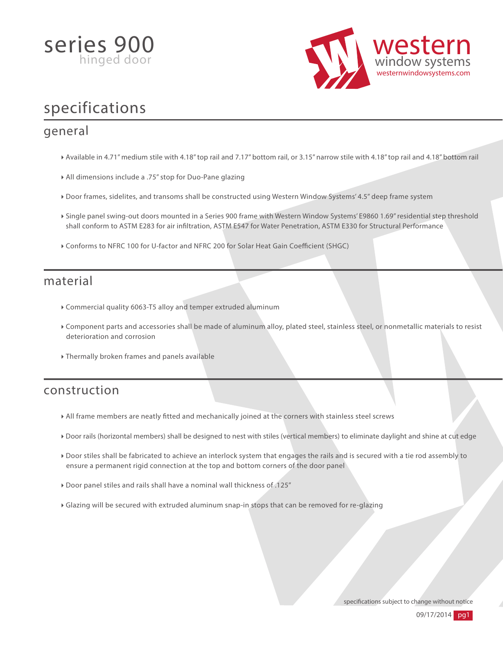



# specifications

### general

- Available in 4.71" medium stile with 4.18" top rail and 7.17" bottom rail, or 3.15" narrow stile with 4.18" top rail and 4.18" bottom rail
- All dimensions include a .75" stop for Duo-Pane glazing
- Door frames, sidelites, and transoms shall be constructed using Western Window Systems' 4.5" deep frame system
- Single panel swing-out doors mounted in a Series 900 frame with Western Window Systems' E9860 1.69" residential step threshold shall conform to ASTM E283 for air inltration, ASTM E547 for Water Penetration, ASTM E330 for Structural Performance
- $\triangleright$  Conforms to NFRC 100 for U-factor and NFRC 200 for Solar Heat Gain Coefficient (SHGC)

#### material

- Commercial quality 6063-T5 alloy and temper extruded aluminum
- Component parts and accessories shall be made of aluminum alloy, plated steel, stainless steel, or nonmetallic materials to resist deterioration and corrosion
- Thermally broken frames and panels available

## construction

- All frame members are neatly tted and mechanically joined at the corners with stainless steel screws
- Door rails (horizontal members) shall be designed to nest with stiles (vertical members) to eliminate daylight and shine at cut edge
- Door stiles shall be fabricated to achieve an interlock system that engages the rails and is secured with a tie rod assembly to ensure a permanent rigid connection at the top and bottom corners of the door panel
- Door panel stiles and rails shall have a nominal wall thickness of .125"
- Glazing will be secured with extruded aluminum snap-in stops that can be removed for re-glazing

specifications subject to change without notice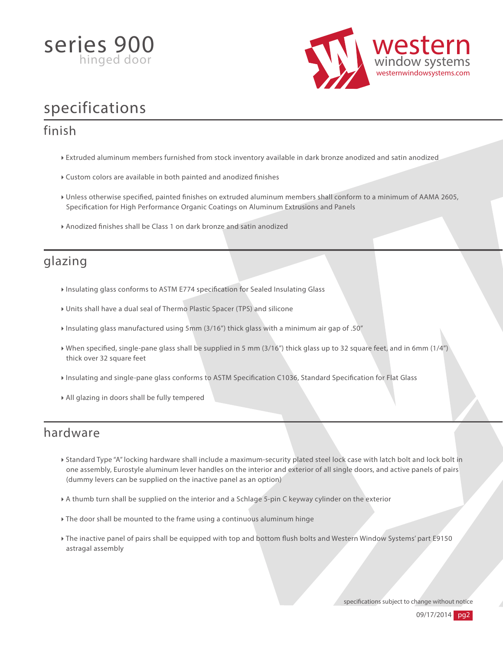



# specifications

## finish

- Extruded aluminum members furnished from stock inventory available in dark bronze anodized and satin anodized
- $\triangleright$  Custom colors are available in both painted and anodized finishes
- I Unless otherwise specified, painted finishes on extruded aluminum members shall conform to a minimum of AAMA 2605, Specification for High Performance Organic Coatings on Aluminum Extrusions and Panels
- Anodized finishes shall be Class 1 on dark bronze and satin anodized

## glazing

- Insulating glass conforms to ASTM E774 specification for Sealed Insulating Glass
- Units shall have a dual seal of Thermo Plastic Spacer (TPS) and silicone
- Insulating glass manufactured using 5mm (3/16") thick glass with a minimum air gap of .50"
- When specified, single-pane glass shall be supplied in 5 mm (3/16") thick glass up to 32 square feet, and in 6mm (1/4") thick over 32 square feet
- Insulating and single-pane glass conforms to ASTM Specification C1036, Standard Specification for Flat Glass
- All glazing in doors shall be fully tempered

#### hardware

- Standard Type "A" locking hardware shall include a maximum-security plated steel lock case with latch bolt and lock bolt in one assembly, Eurostyle aluminum lever handles on the interior and exterior of all single doors, and active panels of pairs (dummy levers can be supplied on the inactive panel as an option)
- A thumb turn shall be supplied on the interior and a Schlage 5-pin C keyway cylinder on the exterior
- The door shall be mounted to the frame using a continuous aluminum hinge
- The inactive panel of pairs shall be equipped with top and bottom flush bolts and Western Window Systems' part E9150 astragal assembly

specifications subject to change without notice